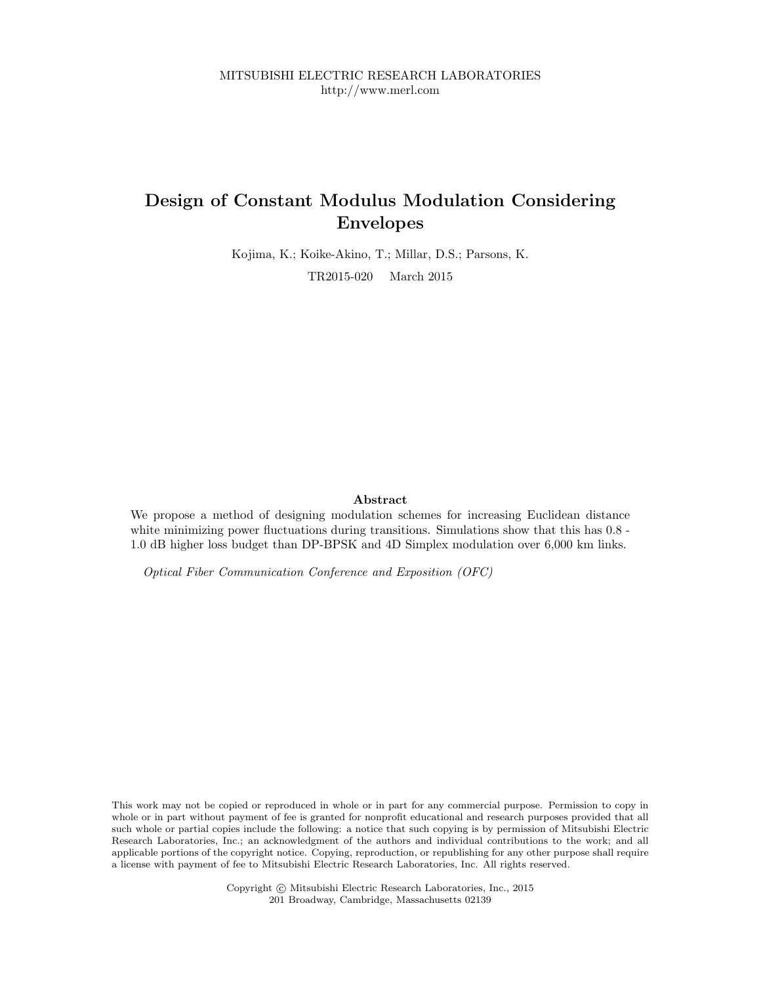MITSUBISHI ELECTRIC RESEARCH LABORATORIES http://www.merl.com

## Design of Constant Modulus Modulation Considering Envelopes

Kojima, K.; Koike-Akino, T.; Millar, D.S.; Parsons, K. TR2015-020 March 2015

### Abstract

We propose a method of designing modulation schemes for increasing Euclidean distance white minimizing power fluctuations during transitions. Simulations show that this has  $0.8$ -1.0 dB higher loss budget than DP-BPSK and 4D Simplex modulation over 6,000 km links.

Optical Fiber Communication Conference and Exposition (OFC)

This work may not be copied or reproduced in whole or in part for any commercial purpose. Permission to copy in whole or in part without payment of fee is granted for nonprofit educational and research purposes provided that all such whole or partial copies include the following: a notice that such copying is by permission of Mitsubishi Electric Research Laboratories, Inc.; an acknowledgment of the authors and individual contributions to the work; and all applicable portions of the copyright notice. Copying, reproduction, or republishing for any other purpose shall require a license with payment of fee to Mitsubishi Electric Research Laboratories, Inc. All rights reserved.

> Copyright © Mitsubishi Electric Research Laboratories, Inc., 2015 201 Broadway, Cambridge, Massachusetts 02139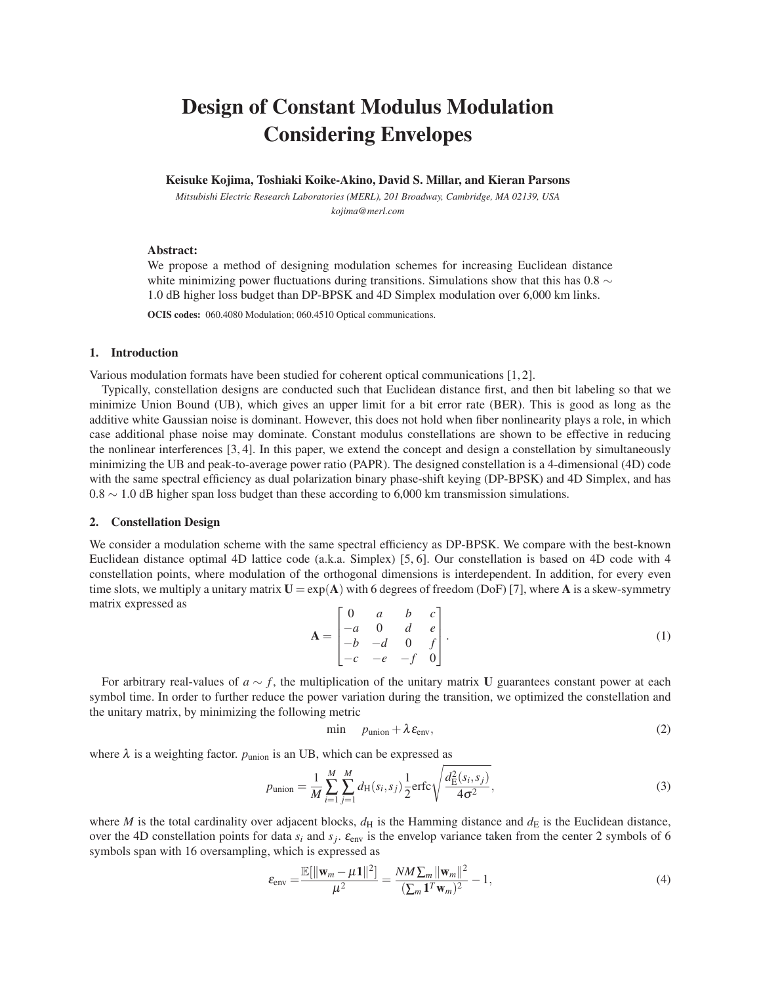# Design of Constant Modulus Modulation Considering Envelopes

#### Keisuke Kojima, Toshiaki Koike-Akino, David S. Millar, and Kieran Parsons

*Mitsubishi Electric Research Laboratories (MERL), 201 Broadway, Cambridge, MA 02139, USA kojima@merl.com*

#### Abstract:

We propose a method of designing modulation schemes for increasing Euclidean distance white minimizing power fluctuations during transitions. Simulations show that this has  $0.8 \sim$ 1.0 dB higher loss budget than DP-BPSK and 4D Simplex modulation over 6,000 km links.

OCIS codes: 060.4080 Modulation; 060.4510 Optical communications.

#### 1. Introduction

Various modulation formats have been studied for coherent optical communications [1, 2].

Typically, constellation designs are conducted such that Euclidean distance first, and then bit labeling so that we minimize Union Bound (UB), which gives an upper limit for a bit error rate (BER). This is good as long as the additive white Gaussian noise is dominant. However, this does not hold when fiber nonlinearity plays a role, in which case additional phase noise may dominate. Constant modulus constellations are shown to be effective in reducing the nonlinear interferences [3, 4]. In this paper, we extend the concept and design a constellation by simultaneously minimizing the UB and peak-to-average power ratio (PAPR). The designed constellation is a 4-dimensional (4D) code with the same spectral efficiency as dual polarization binary phase-shift keying (DP-BPSK) and 4D Simplex, and has  $0.8 \sim 1.0$  dB higher span loss budget than these according to 6,000 km transmission simulations.

#### 2. Constellation Design

We consider a modulation scheme with the same spectral efficiency as DP-BPSK. We compare with the best-known Euclidean distance optimal 4D lattice code (a.k.a. Simplex) [5, 6]. Our constellation is based on 4D code with 4 constellation points, where modulation of the orthogonal dimensions is interdependent. In addition, for every even time slots, we multiply a unitary matrix  $U = exp(A)$  with 6 degrees of freedom (DoF) [7], where A is a skew-symmetry matrix expressed as

$$
\mathbf{A} = \begin{bmatrix} 0 & a & b & c \\ -a & 0 & d & e \\ -b & -d & 0 & f \\ -c & -e & -f & 0 \end{bmatrix} . \tag{1}
$$

For arbitrary real-values of  $a \sim f$ , the multiplication of the unitary matrix U guarantees constant power at each symbol time. In order to further reduce the power variation during the transition, we optimized the constellation and the unitary matrix, by minimizing the following metric

$$
\min \quad p_{\text{union}} + \lambda \varepsilon_{\text{env}}, \tag{2}
$$

where  $\lambda$  is a weighting factor.  $p_{\text{union}}$  is an UB, which can be expressed as

$$
p_{\text{union}} = \frac{1}{M} \sum_{i=1}^{M} \sum_{j=1}^{M} d_{\text{H}}(s_i, s_j) \frac{1}{2} \text{erfc} \sqrt{\frac{d_{\text{E}}^2(s_i, s_j)}{4\sigma^2}},
$$
(3)

where *M* is the total cardinality over adjacent blocks,  $d_H$  is the Hamming distance and  $d_E$  is the Euclidean distance, over the 4D constellation points for data  $s_i$  and  $s_j$ .  $\varepsilon_{env}$  is the envelop variance taken from the center 2 symbols of 6 symbols span with 16 oversampling, which is expressed as

$$
\varepsilon_{\text{env}} = \frac{\mathbb{E}[\|\mathbf{w}_m - \mu \mathbf{1}\|^2]}{\mu^2} = \frac{NM \sum_m \|\mathbf{w}_m\|^2}{(\sum_m \mathbf{1}^T \mathbf{w}_m)^2} - 1,\tag{4}
$$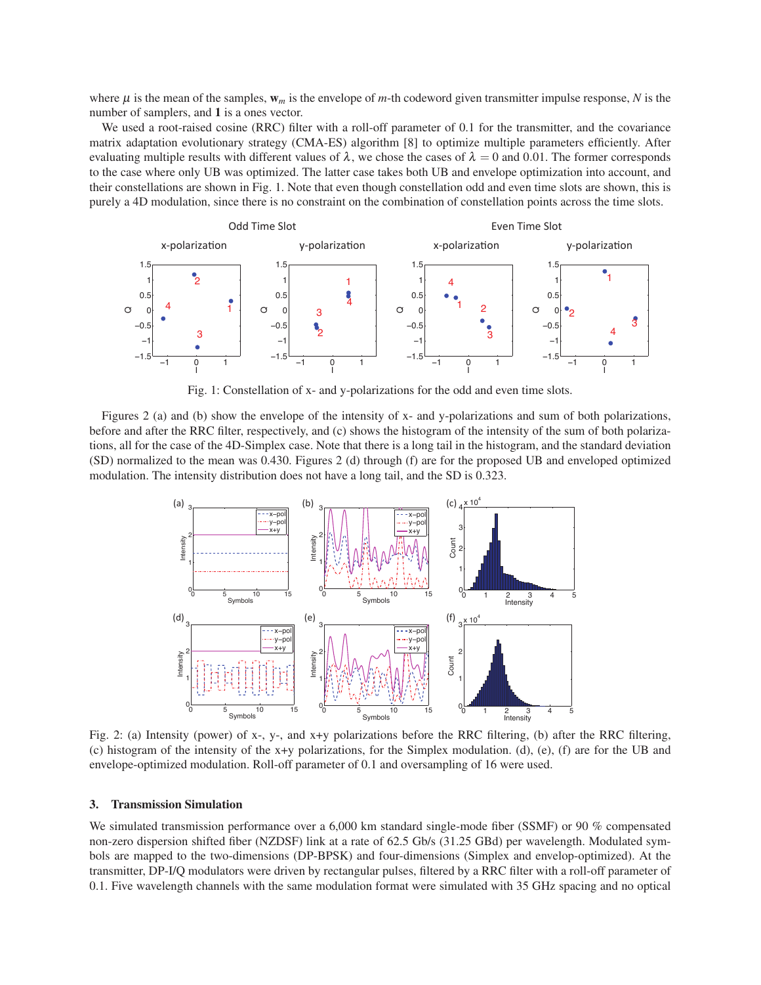where  $\mu$  is the mean of the samples,  $w_m$  is the envelope of m-th codeword given transmitter impulse response, N is the number of samplers, and 1 is a ones vector.

We used a root-raised cosine (RRC) filter with a roll-off parameter of 0.1 for the transmitter, and the covariance matrix adaptation evolutionary strategy (CMA-ES) algorithm [8] to optimize multiple parameters efficiently. After evaluating multiple results with different values of  $\lambda$ , we chose the cases of  $\lambda = 0$  and 0.01. The former corresponds to the case where only UB was optimized. The latter case takes both UB and envelope optimization into account, and their constellations are shown in Fig. 1. Note that even though constellation odd and even time slots are shown, this is purely a 4D modulation, since there is no constraint on the combination of constellation points across the time slots.



Fig. 1: Constellation of x- and y-polarizations for the odd and even time slots.

Figures 2 (a) and (b) show the envelope of the intensity of  $x$ - and  $y$ -polarizations and sum of both polarizations, before and after the RRC filter, respectively, and (c) shows the histogram of the intensity of the sum of both polarizations, all for the case of the 4D-Simplex case. Note that there is a long tail in the histogram, and the standard deviation (SD) normalized to the mean was 0.430. Figures 2 (d) through (f) are for the proposed UB and enveloped optimized modulation. The intensity distribution does not have a long tail, and the SD is 0.323.



Fig. 2: (a) Intensity (power) of x-, y-, and x+y polarizations before the RRC filtering, (b) after the RRC filtering, (c) histogram of the intensity of the  $x+y$  polarizations, for the Simplex modulation. (d), (e), (f) are for the UB and envelope-optimized modulation. Roll-off parameter of 0.1 and oversampling of 16 were used.

#### **Transmission Simulation** 3.

We simulated transmission performance over a 6,000 km standard single-mode fiber (SSMF) or 90  $%$  compensated non-zero dispersion shifted fiber (NZDSF) link at a rate of 62.5 Gb/s (31.25 GBd) per wavelength. Modulated symbols are mapped to the two-dimensions (DP-BPSK) and four-dimensions (Simplex and envelop-optimized). At the transmitter, DP-I/Q modulators were driven by rectangular pulses, filtered by a RRC filter with a roll-off parameter of 0.1. Five wavelength channels with the same modulation format were simulated with 35 GHz spacing and no optical